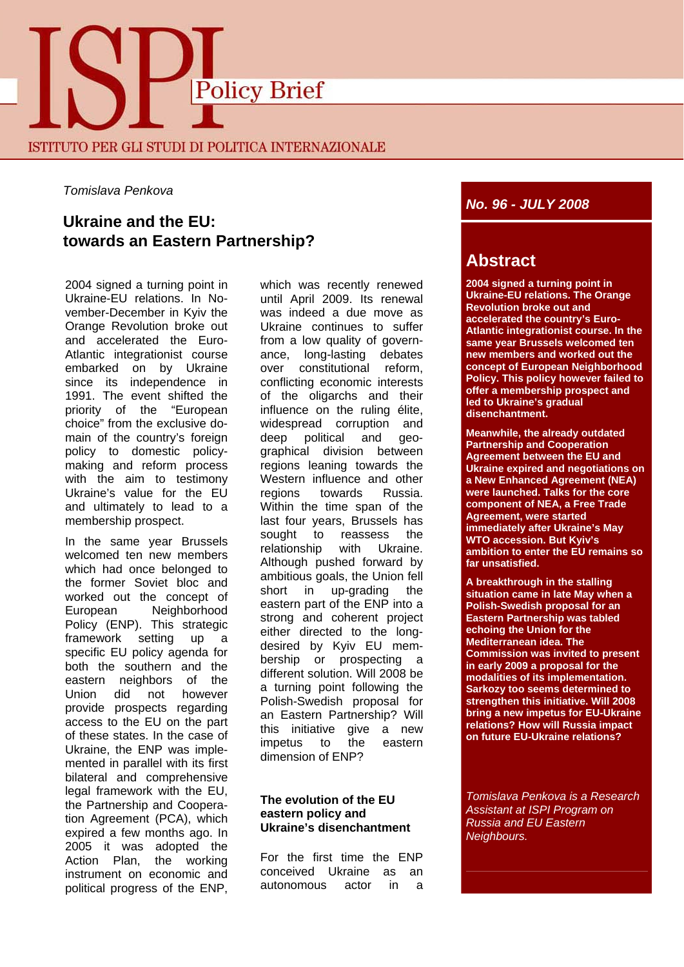

*Tomislava Penkova* 

## **Ukraine and the EU: towards an Eastern Partnership?**

2004 signed a turning point in Ukraine-EU relations. In November-December in Kyiv the Orange Revolution broke out and accelerated the Euro-Atlantic integrationist course embarked on by Ukraine since its independence in 1991. The event shifted the priority of the "European choice" from the exclusive domain of the country's foreign policy to domestic policymaking and reform process with the aim to testimony Ukraine's value for the EU and ultimately to lead to a membership prospect.

In the same year Brussels welcomed ten new members which had once belonged to the former Soviet bloc and worked out the concept of European Neighborhood Policy (ENP). This strategic framework setting up a specific EU policy agenda for both the southern and the eastern neighbors of the Union did not however provide prospects regarding access to the EU on the part of these states. In the case of Ukraine, the ENP was implemented in parallel with its first bilateral and comprehensive legal framework with the EU, the Partnership and Cooperation Agreement (PCA), which expired a few months ago. In 2005 it was adopted the Action Plan, the working instrument on economic and political progress of the ENP, which was recently renewed until April 2009. Its renewal was indeed a due move as Ukraine continues to suffer from a low quality of governance, long-lasting debates over constitutional reform, conflicting economic interests of the oligarchs and their influence on the ruling élite, widespread corruption and deep political and geographical division between regions leaning towards the Western influence and other regions towards Russia. Within the time span of the last four years, Brussels has sought to reassess the relationship with Ukraine. Although pushed forward by ambitious goals, the Union fell short in up-grading the eastern part of the ENP into a strong and coherent project either directed to the longdesired by Kyiv EU membership or prospecting a different solution. Will 2008 be a turning point following the Polish-Swedish proposal for an Eastern Partnership? Will this initiative give a new impetus to the eastern dimension of ENP?

#### **The evolution of the EU eastern policy and Ukraine's disenchantment**

For the first time the ENP conceived Ukraine as an autonomous actor in a

### *No. 96 - JULY 2008*

# **Abstract**

**2004 signed a turning point in Ukraine-EU relations. The Orange Revolution broke out and accelerated the country's Euro-Atlantic integrationist course. In the same year Brussels welcomed ten new members and worked out the concept of European Neighborhood Policy. This policy however failed to offer a membership prospect and led to Ukraine's gradual disenchantment.** 

**Meanwhile, the already outdated Partnership and Cooperation Agreement between the EU and Ukraine expired and negotiations on a New Enhanced Agreement (NEA) were launched. Talks for the core component of NEA, a Free Trade Agreement, were started immediately after Ukraine's May WTO accession. But Kyiv's ambition to enter the EU remains so far unsatisfied.** 

**A breakthrough in the stalling situation came in late May when a Polish-Swedish proposal for an Eastern Partnership was tabled echoing the Union for the Mediterranean idea. The Commission was invited to present in early 2009 a proposal for the modalities of its implementation. Sarkozy too seems determined to strengthen this initiative. Will 2008 bring a new impetus for EU-Ukraine relations? How will Russia impact on future EU-Ukraine relations?**

*Tomislava Penkova is a Research Assistant at ISPI Program on Russia and EU Eastern Neighbours.*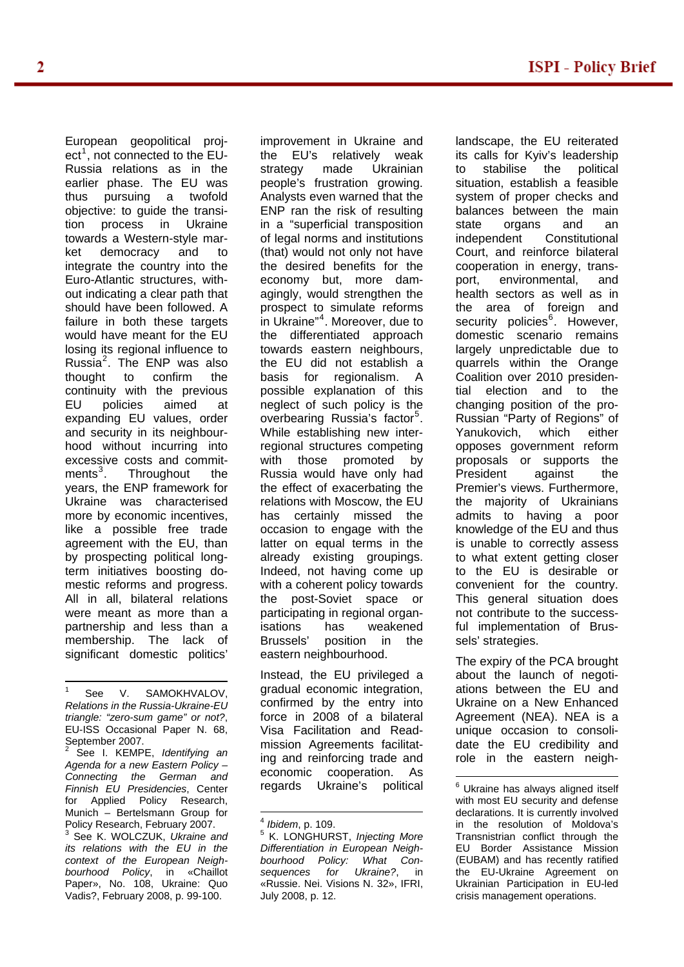European geopolitical proj-ect<sup>[1](#page-1-0)</sup>, not connected to the EU-Russia relations as in the earlier phase. The EU was thus pursuing a twofold objective: to guide the transition process in Ukraine towards a Western-style market democracy and to integrate the country into the Euro-Atlantic structures, without indicating a clear path that should have been followed. A failure in both these targets would have meant for the EU losing its regional influence to Russia[2](#page-1-1) . The ENP was also thought to confirm the continuity with the previous EU policies aimed at expanding EU values, order and security in its neighbourhood without incurring into excessive costs and commit- $ments<sup>3</sup>$  $ments<sup>3</sup>$  $ments<sup>3</sup>$ . Throughout the years, the ENP framework for Ukraine was characterised more by economic incentives, like a possible free trade agreement with the EU, than by prospecting political longterm initiatives boosting domestic reforms and progress. All in all, bilateral relations were meant as more than a partnership and less than a membership. The lack of significant domestic politics'

 $\overline{a}$ 

<span id="page-1-4"></span><span id="page-1-3"></span><span id="page-1-2"></span><span id="page-1-1"></span>2 See I. KEMPE, *Identifying an Agenda for a new Eastern Policy – Connecting the German and Finnish EU Presidencies*, Center for Applied Policy Research, Munich – Bertelsmann Group for Policy Research, February 2007. 3 See K. WOLCZUK, *Ukraine and its relations with the EU in the context of the European Neighbourhood Policy*, in «Chaillot Paper», No. 108, Ukraine: Quo Vadis?, February 2008, p. 99-100.

improvement in Ukraine and the EU's relatively weak strategy made Ukrainian people's frustration growing. Analysts even warned that the ENP ran the risk of resulting in a "superficial transposition of legal norms and institutions (that) would not only not have the desired benefits for the economy but, more damagingly, would strengthen the prospect to simulate reforms in Ukraine"[4](#page-1-3) . Moreover, due to the differentiated approach towards eastern neighbours, the EU did not establish a basis for regionalism. A possible explanation of this neglect of such policy is the overbearing Russia's factor<sup>[5](#page-1-2)</sup>. While establishing new interregional structures competing with those promoted by Russia would have only had the effect of exacerbating the relations with Moscow, the EU has certainly missed the occasion to engage with the latter on equal terms in the already existing groupings. Indeed, not having come up with a coherent policy towards the post-Soviet space or participating in regional organisations has weakened Brussels' position in the eastern neighbourhood.

Instead, the EU privileged a gradual economic integration, confirmed by the entry into force in 2008 of a bilateral Visa Facilitation and Readmission Agreements facilitating and reinforcing trade and economic cooperation. As regards Ukraine's political

landscape, the EU reiterated its calls for Kyiv's leadership to stabilise the political situation, establish a feasible system of proper checks and balances between the main state organs and an independent Constitutional Court, and reinforce bilateral cooperation in energy, transport, environmental, and health sectors as well as in the area of foreign and security policies<sup>[6](#page-1-4)</sup>. However, domestic scenario remains largely unpredictable due to quarrels within the Orange Coalition over 2010 presidential election and to the changing position of the pro-Russian "Party of Regions" of Yanukovich, which either opposes government reform proposals or supports the President against the Premier's views. Furthermore, the majority of Ukrainians admits to having a poor knowledge of the EU and thus is unable to correctly assess to what extent getting closer to the EU is desirable or convenient for the country. This general situation does not contribute to the successful implementation of Brussels' strategies.

The expiry of the PCA brought about the launch of negotiations between the EU and Ukraine on a New Enhanced Agreement (NEA). NEA is a unique occasion to consolidate the EU credibility and role in the eastern neigh-

<span id="page-1-0"></span><sup>1</sup> See V. SAMOKHVALOV. *Relations in the Russia-Ukraine-EU triangle: "zero-sum game" or not?*, EU-ISS Occasional Paper N. 68, September 2007.

 $\overline{\phantom{a}}$ <sup>4</sup> *Ibidem*, p. 109. 5

<sup>&</sup>lt;sup>5</sup> K. LONGHURST, *Injecting More Differentiation in European Neighbourhood Policy: What Consequences for Ukraine?*, in «Russie. Nei. Visions N. 32», IFRI, July 2008, p. 12.

<sup>&</sup>lt;sup>6</sup> Ukraine has always aligned itself with most EU security and defense declarations. It is currently involved in the resolution of Moldova's Transnistrian conflict through the EU Border Assistance Mission (EUBAM) and has recently ratified the EU-Ukraine Agreement on Ukrainian Participation in EU-led crisis management operations.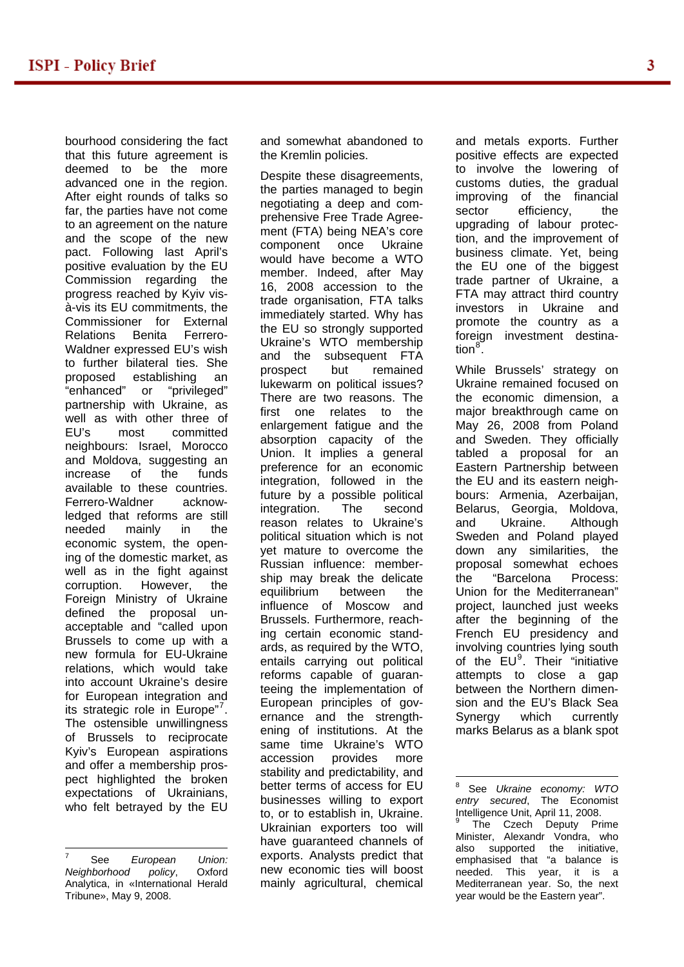bourhood considering the fact that this future agreement is deemed to be the more advanced one in the region. After eight rounds of talks so far, the parties have not come to an agreement on the nature and the scope of the new pact. Following last April's positive evaluation by the EU Commission regarding the progress reached by Kyiv visà-vis its EU commitments, the Commissioner for External Relations Benita Ferrero-Waldner expressed EU's wish to further bilateral ties. She proposed establishing an "enhanced" or "privileged" partnership with Ukraine, as well as with other three of EU's most committed neighbours: Israel, Morocco and Moldova, suggesting an increase of the funds available to these countries. Ferrero-Waldner acknowledged that reforms are still needed mainly in the economic system, the opening of the domestic market, as well as in the fight against corruption. However, the Foreign Ministry of Ukraine defined the proposal unacceptable and "called upon Brussels to come up with a new formula for EU-Ukraine relations, which would take into account Ukraine's desire for European integration and its strategic role in Europe"<sup>[7](#page-2-0)</sup>. The ostensible unwillingness of Brussels to reciprocate Kyiv's European aspirations and offer a membership prospect highlighted the broken expectations of Ukrainians, who felt betrayed by the EU

and somewhat abandoned to the Kremlin policies.

Despite these disagreements, the parties managed to begin negotiating a deep and comprehensive Free Trade Agreement (FTA) being NEA's core component once Ukraine would have become a WTO member. Indeed, after May 16, 2008 accession to the trade organisation, FTA talks immediately started. Why has the EU so strongly supported Ukraine's WTO membership and the subsequent FTA prospect but remained lukewarm on political issues? There are two reasons. The first one relates to the enlargement fatigue and the absorption capacity of the Union. It implies a general preference for an economic integration, followed in the future by a possible political integration. The second reason relates to Ukraine's political situation which is not yet mature to overcome the Russian influence: membership may break the delicate equilibrium between the influence of Moscow and Brussels. Furthermore, reaching certain economic standards, as required by the WTO, entails carrying out political reforms capable of guaranteeing the implementation of European principles of governance and the strengthening of institutions. At the same time Ukraine's WTO accession provides more stability and predictability, and better terms of access for EU businesses willing to export to, or to establish in, Ukraine. Ukrainian exporters too will have guaranteed channels of exports. Analysts predict that new economic ties will boost mainly agricultural, chemical and metals exports. Further positive effects are expected to involve the lowering of customs duties, the gradual improving of the financial sector efficiency, the upgrading of labour protection, and the improvement of business climate. Yet, being the EU one of the biggest trade partner of Ukraine, a FTA may attract third country investors in Ukraine and promote the country as a foreign investment destina-tion<sup>[8](#page-2-1)</sup>.

While Brussels' strategy on Ukraine remained focused on the economic dimension, a major breakthrough came on May 26, 2008 from Poland and Sweden. They officially tabled a proposal for an Eastern Partnership between the EU and its eastern neighbours: Armenia, Azerbaijan, Belarus, Georgia, Moldova, and Ukraine. Although Sweden and Poland played down any similarities, the proposal somewhat echoes the "Barcelona Process: Union for the Mediterranean" project, launched just weeks after the beginning of the French EU presidency and involving countries lying south of the  $EU^9$  $EU^9$ . Their "initiative attempts to close a gap between the Northern dimension and the EU's Black Sea Synergy which currently marks Belarus as a blank spot

<span id="page-2-2"></span><span id="page-2-1"></span><span id="page-2-0"></span> $\overline{a}$ 7 See *European Union: Neighborhood policy*, Analytica, in «International Herald Tribune», May 9, 2008.

<sup>-&</sup>lt;br>8 See *Ukraine economy: WTO entry secured*, The Economist Intelligence Unit, April 11, 2008.

<sup>&</sup>lt;sup>9</sup> The Czech Deputy Prime Minister, Alexandr Vondra, who also supported the initiative, emphasised that "a balance is needed. This year, it is a Mediterranean year. So, the next year would be the Eastern year".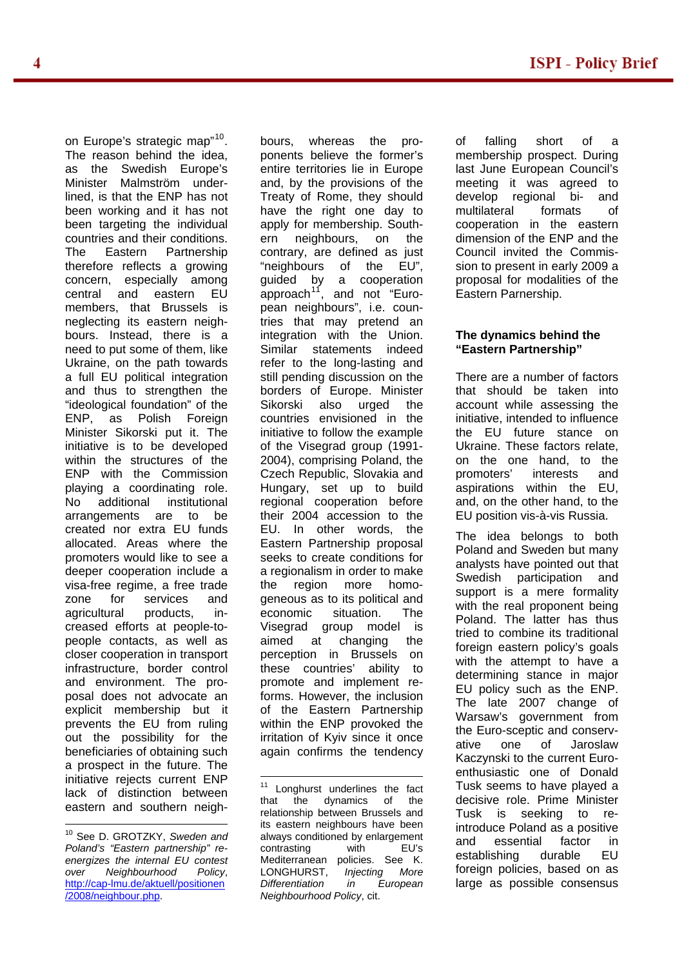on Europe's strategic map"<sup>[10](#page-3-0)</sup>. The reason behind the idea, as the Swedish Europe's Minister Malmström underlined, is that the ENP has not been working and it has not been targeting the individual countries and their conditions. The Eastern Partnership therefore reflects a growing concern, especially among central and eastern EU members, that Brussels is neglecting its eastern neighbours. Instead, there is a need to put some of them, like Ukraine, on the path towards a full EU political integration and thus to strengthen the "ideological foundation" of the ENP, as Polish Foreign Minister Sikorski put it. The initiative is to be developed within the structures of the ENP with the Commission playing a coordinating role. No additional institutional arrangements are to be created nor extra EU funds allocated. Areas where the promoters would like to see a deeper cooperation include a visa-free regime, a free trade zone for services and agricultural products, increased efforts at people-topeople contacts, as well as closer cooperation in transport infrastructure, border control and environment. The proposal does not advocate an explicit membership but it prevents the EU from ruling out the possibility for the beneficiaries of obtaining such a prospect in the future. The initiative rejects current ENP lack of distinction between eastern and southern neigh-

<span id="page-3-1"></span> $\overline{a}$ 

bours, whereas the proponents believe the former's entire territories lie in Europe and, by the provisions of the Treaty of Rome, they should have the right one day to apply for membership. Southern neighbours, on the contrary, are defined as just "neighbours of the EU", guided by a cooperation<br>approach<sup>11</sup>, and not "Euroand not "European neighbours", i.e. countries that may pretend an integration with the Union. Similar statements indeed refer to the long-lasting and still pending discussion on the borders of Europe. Minister Sikorski also urged the countries envisioned in the initiative to follow the example of the Visegrad group (1991- 2004), comprising Poland, the Czech Republic, Slovakia and Hungary, set up to build regional cooperation before their 2004 accession to the EU. In other words, the Eastern Partnership proposal seeks to create conditions for a regionalism in order to make the region more homogeneous as to its political and economic situation. The Visegrad group model is aimed at changing the perception in Brussels on these countries' ability to promote and implement reforms. However, the inclusion of the Eastern Partnership within the ENP provoked the irritation of Kyiv since it once again confirms the tendency of falling short of a membership prospect. During last June European Council's meeting it was agreed to develop regional bi- and multilateral formats of cooperation in the eastern dimension of the ENP and the Council invited the Commission to present in early 2009 a proposal for modalities of the Eastern Parnership.

#### **The dynamics behind the "Eastern Partnership"**

There are a number of factors that should be taken into account while assessing the initiative, intended to influence the EU future stance on Ukraine. These factors relate, on the one hand, to the promoters' interests and aspirations within the EU, and, on the other hand, to the EU position vis-à-vis Russia.

The idea belongs to both Poland and Sweden but many analysts have pointed out that Swedish participation and support is a mere formality with the real proponent being Poland. The latter has thus tried to combine its traditional foreign eastern policy's goals with the attempt to have a determining stance in major EU policy such as the ENP. The late 2007 change of Warsaw's government from the Euro-sceptic and conservative one of Jaroslaw Kaczynski to the current Euroenthusiastic one of Donald Tusk seems to have played a decisive role. Prime Minister Tusk is seeking to reintroduce Poland as a positive and essential factor in establishing durable EU foreign policies, based on as large as possible consensus

<span id="page-3-0"></span><sup>10</sup> See D. GROTZKY, *Sweden and Poland's "Eastern partnership" reenergizes the internal EU contest over Neighbourhood Policy*, [http://cap-lmu.de/aktuell/positionen](http://cap-lmu.de/aktuell/positionen/2008/neighbour.php) [/2008/neighbour.php](http://cap-lmu.de/aktuell/positionen/2008/neighbour.php).

 $\overline{a}$ <sup>11</sup> Longhurst underlines the fact that the dynamics of the relationship between Brussels and its eastern neighbours have been always conditioned by enlargement contrasting with EU's Mediterranean policies. See K. LONGHURST, *Injecting More Differentiation in European Neighbourhood Policy*, cit.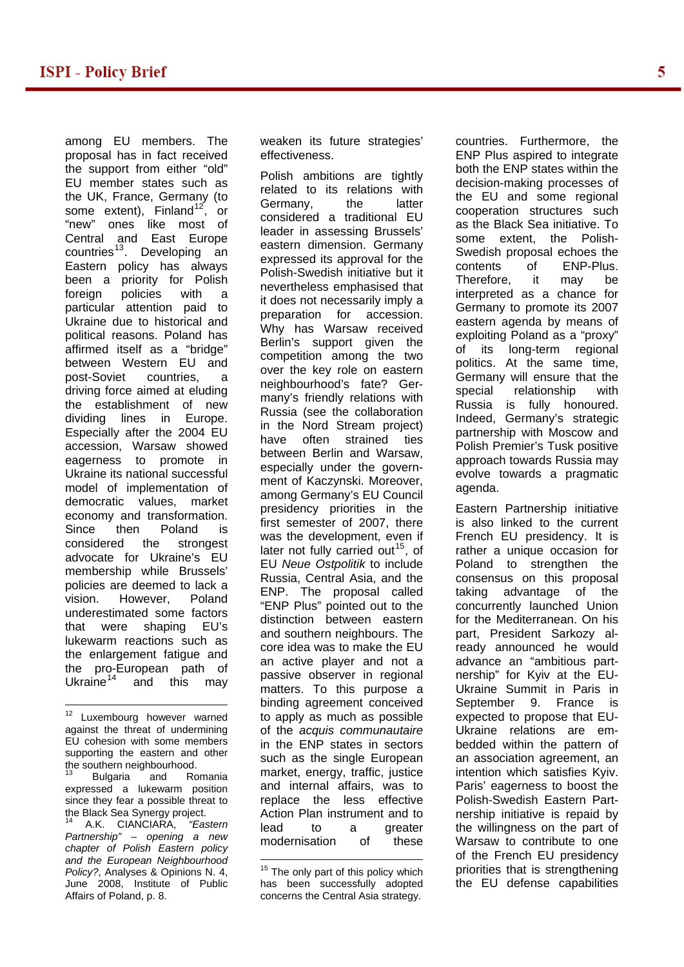among EU members. The proposal has in fact received the support from either "old" EU member states such as the UK, France, Germany (to some extent), Finland<sup>[12](#page-4-0)</sup>, or "new" ones like most of Central and East Europe countries<sup>[13](#page-4-1)</sup>. Developing an Eastern policy has always been a priority for Polish foreign policies with a particular attention paid to Ukraine due to historical and political reasons. Poland has affirmed itself as a "bridge" between Western EU and post-Soviet countries, a driving force aimed at eluding the establishment of new dividing lines in Europe. Especially after the 2004 EU accession, Warsaw showed eagerness to promote in Ukraine its national successful model of implementation of democratic values, market economy and transformation. Since then Poland is considered the strongest advocate for Ukraine's EU membership while Brussels' policies are deemed to lack a vision. However, Poland underestimated some factors that were shaping EU's lukewarm reactions such as the enlargement fatigue and the pro-European path of Ukraine $14$  and this may

<span id="page-4-0"></span><sup>12</sup> Luxembourg however warned against the threat of undermining EU cohesion with some members supporting the eastern and other the southern neighbourhood.

 $\overline{a}$ 

<span id="page-4-1"></span>Bulgaria and Romania expressed a lukewarm position since they fear a possible threat to the Black Sea Synergy project.

<span id="page-4-3"></span><span id="page-4-2"></span>14 A.K. CIANCIARA, *"Eastern Partnership" – opening a new chapter of Polish Eastern policy and the European Neighbourhood Policy?*, Analyses & Opinions N. 4, June 2008, Institute of Public Affairs of Poland, p. 8.

weaken its future strategies' effectiveness.

Polish ambitions are tightly related to its relations with Germany, the latter considered a traditional EU leader in assessing Brussels' eastern dimension. Germany expressed its approval for the Polish-Swedish initiative but it nevertheless emphasised that it does not necessarily imply a preparation for accession. Why has Warsaw received Berlin's support given the competition among the two over the key role on eastern neighbourhood's fate? Germany's friendly relations with Russia (see the collaboration in the Nord Stream project) have often strained ties between Berlin and Warsaw, especially under the government of Kaczynski. Moreover, among Germany's EU Council presidency priorities in the first semester of 2007, there was the development, even if later not fully carried out<sup>[15](#page-4-3)</sup>, of EU *Neue Ostpolitik* to include Russia, Central Asia, and the ENP. The proposal called "ENP Plus" pointed out to the distinction between eastern and southern neighbours. The core idea was to make the EU an active player and not a passive observer in regional matters. To this purpose a binding agreement conceived to apply as much as possible of the *acquis communautaire* in the ENP states in sectors such as the single European market, energy, traffic, justice and internal affairs, was to replace the less effective Action Plan instrument and to lead to a greater modernisation of these

countries. Furthermore, the ENP Plus aspired to integrate both the ENP states within the decision-making processes of the EU and some regional cooperation structures such as the Black Sea initiative. To some extent, the Polish-Swedish proposal echoes the contents of ENP-Plus. Therefore, it may be interpreted as a chance for Germany to promote its 2007 eastern agenda by means of exploiting Poland as a "proxy" of its long-term regional politics. At the same time, Germany will ensure that the special relationship with Russia is fully honoured. Indeed, Germany's strategic partnership with Moscow and Polish Premier's Tusk positive approach towards Russia may evolve towards a pragmatic agenda.

Eastern Partnership initiative is also linked to the current French EU presidency. It is rather a unique occasion for Poland to strengthen the consensus on this proposal taking advantage of the concurrently launched Union for the Mediterranean. On his part, President Sarkozy already announced he would advance an "ambitious partnership" for Kyiv at the EU-Ukraine Summit in Paris in September 9. France is expected to propose that EU-Ukraine relations are embedded within the pattern of an association agreement, an intention which satisfies Kyiv. Paris' eagerness to boost the Polish-Swedish Eastern Partnership initiative is repaid by the willingness on the part of Warsaw to contribute to one of the French EU presidency priorities that is strengthening the EU defense capabilities

 $\overline{a}$  $15$  The only part of this policy which has been successfully adopted concerns the Central Asia strategy.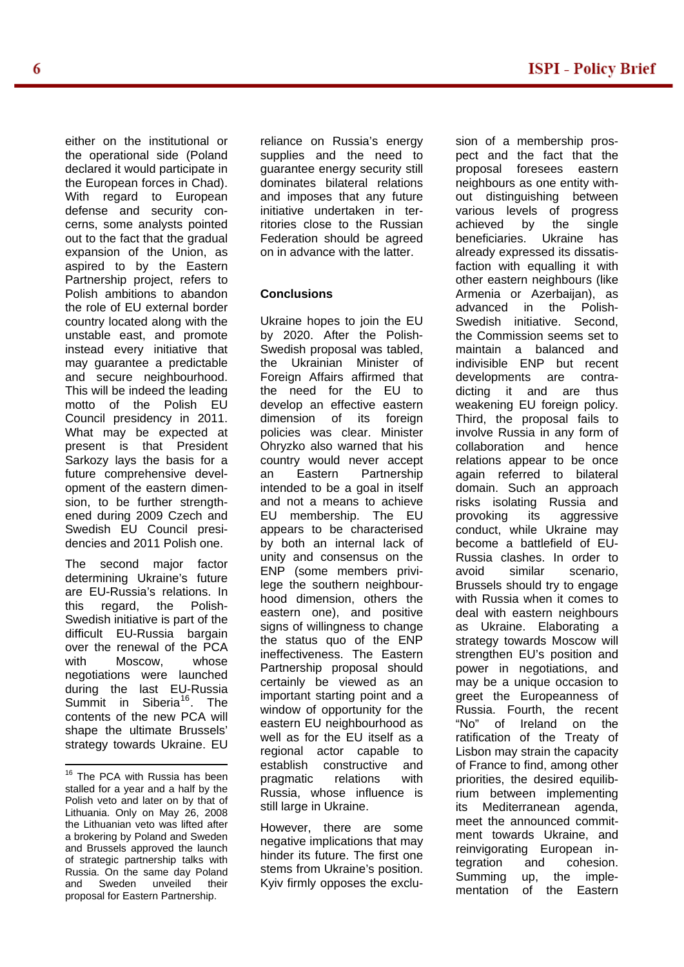either on the institutional or the operational side (Poland declared it would participate in the European forces in Chad). With regard to European defense and security concerns, some analysts pointed out to the fact that the gradual expansion of the Union, as aspired to by the Eastern Partnership project, refers to Polish ambitions to abandon the role of EU external border country located along with the unstable east, and promote instead every initiative that may guarantee a predictable and secure neighbourhood. This will be indeed the leading motto of the Polish EU Council presidency in 2011. What may be expected at present is that President Sarkozy lays the basis for a future comprehensive development of the eastern dimension, to be further strengthened during 2009 Czech and Swedish EU Council presidencies and 2011 Polish one.

The second major factor determining Ukraine's future are EU-Russia's relations. In this regard, the Polish-Swedish initiative is part of the difficult EU-Russia bargain over the renewal of the PCA with Moscow, whose negotiations were launched during the last EU-Russia Summit in Siberia<sup>[16](#page-5-0)</sup>. The contents of the new PCA will shape the ultimate Brussels' strategy towards Ukraine. EU

 $\overline{a}$ 

reliance on Russia's energy supplies and the need to guarantee energy security still dominates bilateral relations and imposes that any future initiative undertaken in territories close to the Russian Federation should be agreed on in advance with the latter.

### **Conclusions**

Ukraine hopes to join the EU by 2020. After the Polish-Swedish proposal was tabled, the Ukrainian Minister of Foreign Affairs affirmed that the need for the EU to develop an effective eastern dimension of its foreign policies was clear. Minister Ohryzko also warned that his country would never accept an Eastern Partnership intended to be a goal in itself and not a means to achieve EU membership. The EU appears to be characterised by both an internal lack of unity and consensus on the ENP (some members privilege the southern neighbourhood dimension, others the eastern one), and positive signs of willingness to change the status quo of the ENP ineffectiveness. The Eastern Partnership proposal should certainly be viewed as an important starting point and a window of opportunity for the eastern EU neighbourhood as well as for the EU itself as a regional actor capable to establish constructive and pragmatic relations with Russia, whose influence is still large in Ukraine.

However, there are some negative implications that may hinder its future. The first one stems from Ukraine's position. Kyiv firmly opposes the exclu-

sion of a membership prospect and the fact that the proposal foresees eastern neighbours as one entity without distinguishing between various levels of progress achieved by the single beneficiaries. Ukraine has already expressed its dissatisfaction with equalling it with other eastern neighbours (like Armenia or Azerbaijan), as advanced in the Polish-Swedish initiative. Second, the Commission seems set to maintain a balanced and indivisible ENP but recent developments are contradicting it and are thus weakening EU foreign policy. Third, the proposal fails to involve Russia in any form of collaboration and hence relations appear to be once again referred to bilateral domain. Such an approach risks isolating Russia and provoking its aggressive conduct, while Ukraine may become a battlefield of EU-Russia clashes. In order to avoid similar scenario, Brussels should try to engage with Russia when it comes to deal with eastern neighbours as Ukraine. Elaborating a strategy towards Moscow will strengthen EU's position and power in negotiations, and may be a unique occasion to greet the Europeanness of Russia. Fourth, the recent "No" of Ireland on the ratification of the Treaty of Lisbon may strain the capacity of France to find, among other priorities, the desired equilibrium between implementing its Mediterranean agenda, meet the announced commitment towards Ukraine, and reinvigorating European integration and cohesion. Summing up, the implementation of the Eastern

<span id="page-5-0"></span><sup>&</sup>lt;sup>16</sup> The PCA with Russia has been stalled for a year and a half by the Polish veto and later on by that of Lithuania. Only on May 26, 2008 the Lithuanian veto was lifted after a brokering by Poland and Sweden and Brussels approved the launch of strategic partnership talks with Russia. On the same day Poland and Sweden unveiled their proposal for Eastern Partnership.